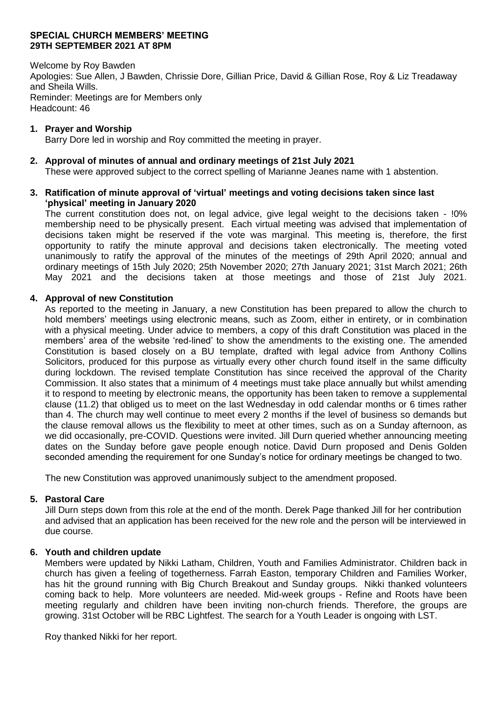### **SPECIAL CHURCH MEMBERS' MEETING 29TH SEPTEMBER 2021 AT 8PM**

Welcome by Roy Bawden Apologies: Sue Allen, J Bawden, Chrissie Dore, Gillian Price, David & Gillian Rose, Roy & Liz Treadaway and Sheila Wills. Reminder: Meetings are for Members only Headcount: 46

### **1. Prayer and Worship**

Barry Dore led in worship and Roy committed the meeting in prayer.

### **2. Approval of minutes of annual and ordinary meetings of 21st July 2021**

These were approved subject to the correct spelling of Marianne Jeanes name with 1 abstention.

### **3. Ratification of minute approval of 'virtual' meetings and voting decisions taken since last 'physical' meeting in January 2020**

The current constitution does not, on legal advice, give legal weight to the decisions taken - !0% membership need to be physically present. Each virtual meeting was advised that implementation of decisions taken might be reserved if the vote was marginal. This meeting is, therefore, the first opportunity to ratify the minute approval and decisions taken electronically. The meeting voted unanimously to ratify the approval of the minutes of the meetings of 29th April 2020; annual and ordinary meetings of 15th July 2020; 25th November 2020; 27th January 2021; 31st March 2021; 26th May 2021 and the decisions taken at those meetings and those of 21st July 2021.

# **4. Approval of new Constitution**

As reported to the meeting in January, a new Constitution has been prepared to allow the church to hold members' meetings using electronic means, such as Zoom, either in entirety, or in combination with a physical meeting. Under advice to members, a copy of this draft Constitution was placed in the members' area of the website 'red-lined' to show the amendments to the existing one. The amended Constitution is based closely on a BU template, drafted with legal advice from Anthony Collins Solicitors, produced for this purpose as virtually every other church found itself in the same difficulty during lockdown. The revised template Constitution has since received the approval of the Charity Commission. It also states that a minimum of 4 meetings must take place annually but whilst amending it to respond to meeting by electronic means, the opportunity has been taken to remove a supplemental clause (11.2) that obliged us to meet on the last Wednesday in odd calendar months or 6 times rather than 4. The church may well continue to meet every 2 months if the level of business so demands but the clause removal allows us the flexibility to meet at other times, such as on a Sunday afternoon, as we did occasionally, pre-COVID. Questions were invited. Jill Durn queried whether announcing meeting dates on the Sunday before gave people enough notice. David Durn proposed and Denis Golden seconded amending the requirement for one Sunday's notice for ordinary meetings be changed to two.

The new Constitution was approved unanimously subject to the amendment proposed.

# **5. Pastoral Care**

Jill Durn steps down from this role at the end of the month. Derek Page thanked Jill for her contribution and advised that an application has been received for the new role and the person will be interviewed in due course.

#### **6. Youth and children update**

Members were updated by Nikki Latham, Children, Youth and Families Administrator. Children back in church has given a feeling of togetherness. Farrah Easton, temporary Children and Families Worker, has hit the ground running with Big Church Breakout and Sunday groups. Nikki thanked volunteers coming back to help. More volunteers are needed. Mid-week groups - Refine and Roots have been meeting regularly and children have been inviting non-church friends. Therefore, the groups are growing. 31st October will be RBC Lightfest. The search for a Youth Leader is ongoing with LST.

Roy thanked Nikki for her report.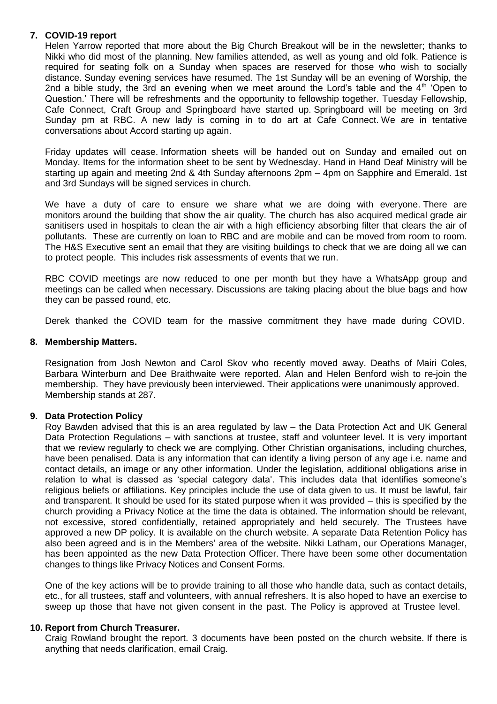# **7. COVID-19 report**

Helen Yarrow reported that more about the Big Church Breakout will be in the newsletter; thanks to Nikki who did most of the planning. New families attended, as well as young and old folk. Patience is required for seating folk on a Sunday when spaces are reserved for those who wish to socially distance. Sunday evening services have resumed. The 1st Sunday will be an evening of Worship, the 2nd a bible study, the 3rd an evening when we meet around the Lord's table and the  $4<sup>th</sup>$  'Open to Question.' There will be refreshments and the opportunity to fellowship together. Tuesday Fellowship, Cafe Connect, Craft Group and Springboard have started up. Springboard will be meeting on 3rd Sunday pm at RBC. A new lady is coming in to do art at Cafe Connect. We are in tentative conversations about Accord starting up again.

Friday updates will cease. Information sheets will be handed out on Sunday and emailed out on Monday. Items for the information sheet to be sent by Wednesday. Hand in Hand Deaf Ministry will be starting up again and meeting 2nd & 4th Sunday afternoons 2pm – 4pm on Sapphire and Emerald. 1st and 3rd Sundays will be signed services in church.

We have a duty of care to ensure we share what we are doing with everyone. There are monitors around the building that show the air quality. The church has also acquired medical grade air sanitisers used in hospitals to clean the air with a high efficiency absorbing filter that clears the air of pollutants. These are currently on loan to RBC and are mobile and can be moved from room to room. The H&S Executive sent an email that they are visiting buildings to check that we are doing all we can to protect people. This includes risk assessments of events that we run.

RBC COVID meetings are now reduced to one per month but they have a WhatsApp group and meetings can be called when necessary. Discussions are taking placing about the blue bags and how they can be passed round, etc.

Derek thanked the COVID team for the massive commitment they have made during COVID.

# **8. Membership Matters.**

Resignation from Josh Newton and Carol Skov who recently moved away. Deaths of Mairi Coles, Barbara Winterburn and Dee Braithwaite were reported. Alan and Helen Benford wish to re-join the membership. They have previously been interviewed. Their applications were unanimously approved. Membership stands at 287.

# **9. Data Protection Policy**

Roy Bawden advised that this is an area regulated by law – the Data Protection Act and UK General Data Protection Regulations – with sanctions at trustee, staff and volunteer level. It is very important that we review regularly to check we are complying. Other Christian organisations, including churches, have been penalised. Data is any information that can identify a living person of any age i.e. name and contact details, an image or any other information. Under the legislation, additional obligations arise in relation to what is classed as 'special category data'. This includes data that identifies someone's religious beliefs or affiliations. Key principles include the use of data given to us. It must be lawful, fair and transparent. It should be used for its stated purpose when it was provided – this is specified by the church providing a Privacy Notice at the time the data is obtained. The information should be relevant, not excessive, stored confidentially, retained appropriately and held securely. The Trustees have approved a new DP policy. It is available on the church website. A separate Data Retention Policy has also been agreed and is in the Members' area of the website. Nikki Latham, our Operations Manager, has been appointed as the new Data Protection Officer. There have been some other documentation changes to things like Privacy Notices and Consent Forms.

One of the key actions will be to provide training to all those who handle data, such as contact details, etc., for all trustees, staff and volunteers, with annual refreshers. It is also hoped to have an exercise to sweep up those that have not given consent in the past. The Policy is approved at Trustee level.

# **10. Report from Church Treasurer.**

Craig Rowland brought the report. 3 documents have been posted on the church website. If there is anything that needs clarification, email Craig.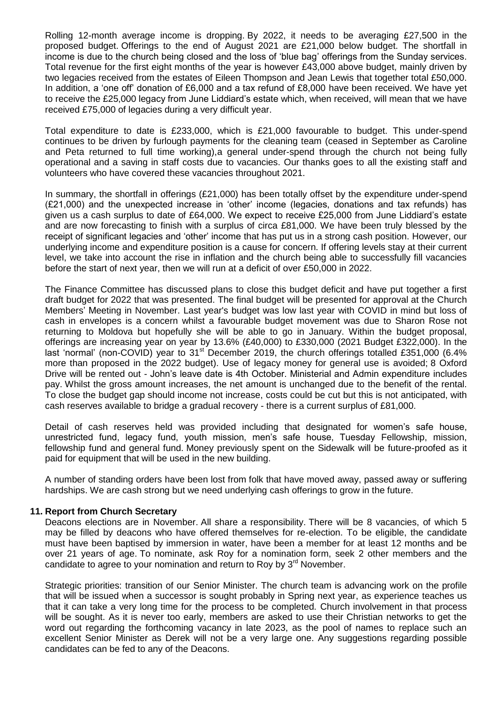Rolling 12-month average income is dropping. By 2022, it needs to be averaging £27,500 in the proposed budget. Offerings to the end of August 2021 are £21,000 below budget. The shortfall in income is due to the church being closed and the loss of 'blue bag' offerings from the Sunday services. Total revenue for the first eight months of the year is however £43,000 above budget, mainly driven by two legacies received from the estates of Eileen Thompson and Jean Lewis that together total £50,000. In addition, a 'one off' donation of £6,000 and a tax refund of £8,000 have been received. We have yet to receive the £25,000 legacy from June Liddiard's estate which, when received, will mean that we have received £75,000 of legacies during a very difficult year.

Total expenditure to date is £233,000, which is £21,000 favourable to budget. This under-spend continues to be driven by furlough payments for the cleaning team (ceased in September as Caroline and Peta returned to full time working),a general under-spend through the church not being fully operational and a saving in staff costs due to vacancies. Our thanks goes to all the existing staff and volunteers who have covered these vacancies throughout 2021.

In summary, the shortfall in offerings (£21,000) has been totally offset by the expenditure under-spend (£21,000) and the unexpected increase in 'other' income (legacies, donations and tax refunds) has given us a cash surplus to date of £64,000. We expect to receive £25,000 from June Liddiard's estate and are now forecasting to finish with a surplus of circa £81,000. We have been truly blessed by the receipt of significant legacies and 'other' income that has put us in a strong cash position. However, our underlying income and expenditure position is a cause for concern. If offering levels stay at their current level, we take into account the rise in inflation and the church being able to successfully fill vacancies before the start of next year, then we will run at a deficit of over £50,000 in 2022.

The Finance Committee has discussed plans to close this budget deficit and have put together a first draft budget for 2022 that was presented. The final budget will be presented for approval at the Church Members' Meeting in November. Last year's budget was low last year with COVID in mind but loss of cash in envelopes is a concern whilst a favourable budget movement was due to Sharon Rose not returning to Moldova but hopefully she will be able to go in January. Within the budget proposal, offerings are increasing year on year by 13.6% (£40,000) to £330,000 (2021 Budget £322,000). In the last 'normal' (non-COVID) year to 31<sup>st</sup> December 2019, the church offerings totalled £351,000 (6.4% more than proposed in the 2022 budget). Use of legacy money for general use is avoided; 8 Oxford Drive will be rented out - John's leave date is 4th October. Ministerial and Admin expenditure includes pay. Whilst the gross amount increases, the net amount is unchanged due to the benefit of the rental. To close the budget gap should income not increase, costs could be cut but this is not anticipated, with cash reserves available to bridge a gradual recovery - there is a current surplus of £81,000.

Detail of cash reserves held was provided including that designated for women's safe house, unrestricted fund, legacy fund, youth mission, men's safe house, Tuesday Fellowship, mission, fellowship fund and general fund. Money previously spent on the Sidewalk will be future-proofed as it paid for equipment that will be used in the new building.

A number of standing orders have been lost from folk that have moved away, passed away or suffering hardships. We are cash strong but we need underlying cash offerings to grow in the future.

# **11. Report from Church Secretary**

Deacons elections are in November. All share a responsibility. There will be 8 vacancies, of which 5 may be filled by deacons who have offered themselves for re-election. To be eligible, the candidate must have been baptised by immersion in water, have been a member for at least 12 months and be over 21 years of age. To nominate, ask Roy for a nomination form, seek 2 other members and the candidate to agree to your nomination and return to Roy by  $3<sup>rd</sup>$  November.

Strategic priorities: transition of our Senior Minister. The church team is advancing work on the profile that will be issued when a successor is sought probably in Spring next year, as experience teaches us that it can take a very long time for the process to be completed. Church involvement in that process will be sought. As it is never too early, members are asked to use their Christian networks to get the word out regarding the forthcoming vacancy in late 2023, as the pool of names to replace such an excellent Senior Minister as Derek will not be a very large one. Any suggestions regarding possible candidates can be fed to any of the Deacons.